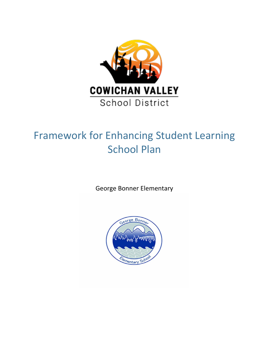

# Framework for Enhancing Student Learning School Plan

George Bonner Elementary

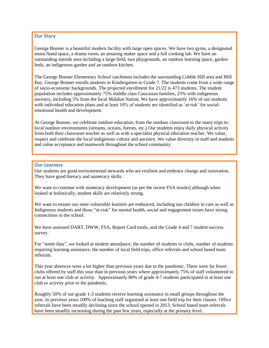### **Our Story**

George Bonner is a beautiful modern facility with large open spaces. We have two gyms, a designated music/band space, a drama room, an amazing maker space and a full cooking lab. We have an outstanding outside area including a large field, two playgrounds, an outdoor learning space, garden beds, an indigenous garden and an outdoor kitchen.

The George Bonner Elementary School catchment includes the surrounding Cobble Hill area and Mill Bay. George Bonner enrolls students in Kindergarten to Grade 7. The students come from a wide range of socio-economic backgrounds. The projected enrollment for 21/22 is 473 students. The student population includes approximately 75% middle class Caucasian families, 25% with indigenous ancestry, including 5% from the local Malahat Nation. We have approximately 16% of our students with individual education plans and at least 10% of students are identified as 'at risk' for socialemotional health and development.

At George Bonner, we celebrate outdoor education, from the outdoor classroom to the many trips to local outdoor environments (streams, oceans, forests, etc.) Our students enjoy daily physical activity from both their classroom teacher as well as with a specialist physical education teacher. We value, respect and celebrate the local indigenous culture and ancestry. We value diversity in staff and students and value acceptance and teamwork throughout the school community.

#### **Our Learners**

Our students are good environmental stewards who are resilient and embrace change and innovation. They have good literacy and numeracy skills.

We want to continue with numeracy development (as per the recent FSA results) although when looked at holistically, student skills are relatively strong.

We want to ensure our most vulnerable learners are embraced, including our children in care as well as Indigenous students and those "at-risk" for mental health, social and engagement issues have strong connections to the school.

We have assessed DART, DWW, FSA, Report Card totals, and the Grade 4 and 7 student success survey.

For "street data", we looked at student attendance, the number of students in clubs, number of students requiring learning assistance, the number of local field trips, office referrals and school based team referrals.

This year absences were a lot higher than previous years due to the pandemic. There were far fewer clubs offered by staff this year than in previous years where approximately 75% of staff volunteered to run at least one club or activity. Approximately 80% of grade 4-7 students participated in at least one club or activity prior to the pandemic.

Roughly 50% of our grade 1-3 students receive learning assistance in small groups throughout the year. In previous years 100% of teaching staff organized at least one field trip for their classes. Office referrals have been steadily declining since the school opened in 2013. School based team referrals have been steadily increasing during the past few years, especially at the primary level.